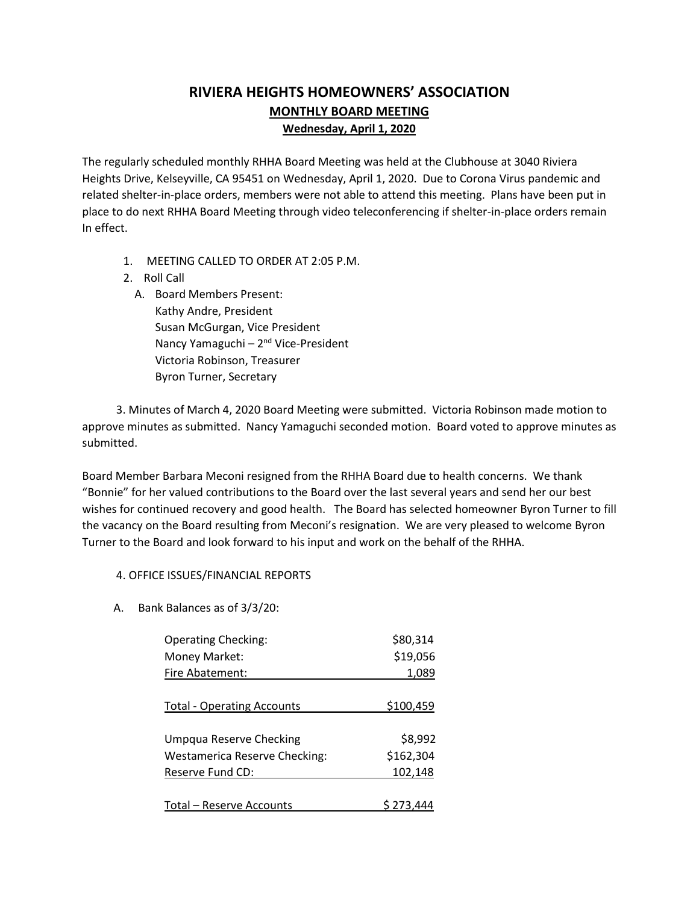# **RIVIERA HEIGHTS HOMEOWNERS' ASSOCIATION MONTHLY BOARD MEETING Wednesday, April 1, 2020**

The regularly scheduled monthly RHHA Board Meeting was held at the Clubhouse at 3040 Riviera Heights Drive, Kelseyville, CA 95451 on Wednesday, April 1, 2020. Due to Corona Virus pandemic and related shelter-in-place orders, members were not able to attend this meeting. Plans have been put in place to do next RHHA Board Meeting through video teleconferencing if shelter-in-place orders remain In effect.

- 1. MEETING CALLED TO ORDER AT 2:05 P.M.
- 2. Roll Call
	- A. Board Members Present: Kathy Andre, President Susan McGurgan, Vice President Nancy Yamaguchi - 2<sup>nd</sup> Vice-President Victoria Robinson, Treasurer Byron Turner, Secretary

 3. Minutes of March 4, 2020 Board Meeting were submitted. Victoria Robinson made motion to approve minutes as submitted. Nancy Yamaguchi seconded motion. Board voted to approve minutes as submitted.

Board Member Barbara Meconi resigned from the RHHA Board due to health concerns. We thank "Bonnie" for her valued contributions to the Board over the last several years and send her our best wishes for continued recovery and good health. The Board has selected homeowner Byron Turner to fill the vacancy on the Board resulting from Meconi's resignation. We are very pleased to welcome Byron Turner to the Board and look forward to his input and work on the behalf of the RHHA.

#### 4. OFFICE ISSUES/FINANCIAL REPORTS

A. Bank Balances as of 3/3/20:

| <b>Operating Checking:</b>           | \$80,314         |
|--------------------------------------|------------------|
| Money Market:                        | \$19,056         |
| Fire Abatement:                      | 1,089            |
|                                      |                  |
| <b>Total - Operating Accounts</b>    | <u>\$100,459</u> |
|                                      |                  |
| Umpqua Reserve Checking              | \$8,992          |
| <b>Westamerica Reserve Checking:</b> | \$162,304        |
| Reserve Fund CD:                     | 102,148          |
|                                      |                  |
| Total – Reserve Accounts             |                  |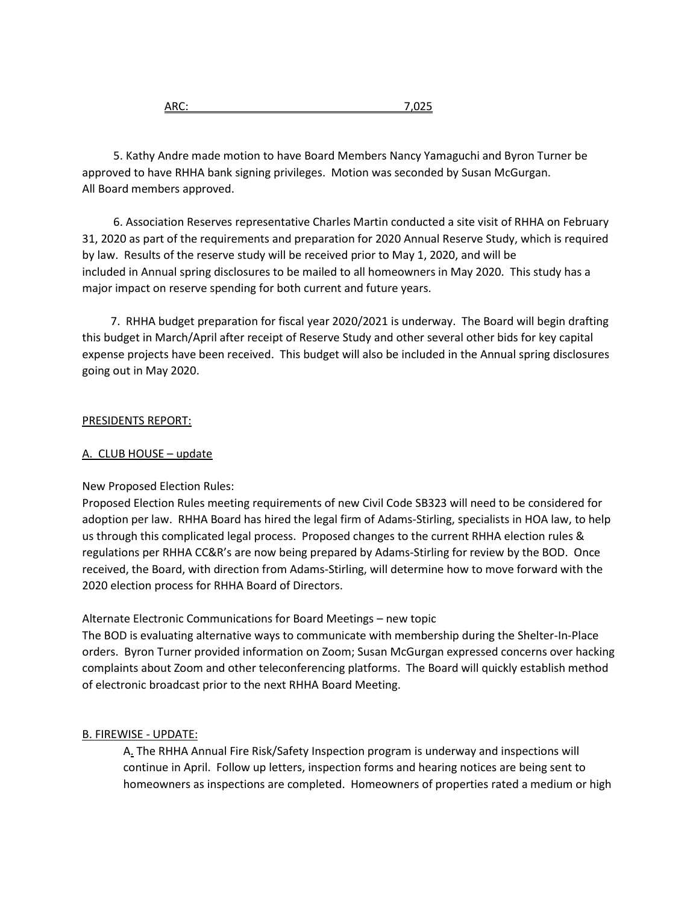5. Kathy Andre made motion to have Board Members Nancy Yamaguchi and Byron Turner be approved to have RHHA bank signing privileges. Motion was seconded by Susan McGurgan. All Board members approved.

 6. Association Reserves representative Charles Martin conducted a site visit of RHHA on February 31, 2020 as part of the requirements and preparation for 2020 Annual Reserve Study, which is required by law. Results of the reserve study will be received prior to May 1, 2020, and will be included in Annual spring disclosures to be mailed to all homeowners in May 2020. This study has a major impact on reserve spending for both current and future years.

 7. RHHA budget preparation for fiscal year 2020/2021 is underway. The Board will begin drafting this budget in March/April after receipt of Reserve Study and other several other bids for key capital expense projects have been received. This budget will also be included in the Annual spring disclosures going out in May 2020.

## PRESIDENTS REPORT:

### A. CLUB HOUSE – update

# New Proposed Election Rules:

Proposed Election Rules meeting requirements of new Civil Code SB323 will need to be considered for adoption per law. RHHA Board has hired the legal firm of Adams-Stirling, specialists in HOA law, to help us through this complicated legal process. Proposed changes to the current RHHA election rules & regulations per RHHA CC&R's are now being prepared by Adams-Stirling for review by the BOD. Once received, the Board, with direction from Adams-Stirling, will determine how to move forward with the 2020 election process for RHHA Board of Directors.

Alternate Electronic Communications for Board Meetings – new topic

The BOD is evaluating alternative ways to communicate with membership during the Shelter-In-Place orders. Byron Turner provided information on Zoom; Susan McGurgan expressed concerns over hacking complaints about Zoom and other teleconferencing platforms. The Board will quickly establish method of electronic broadcast prior to the next RHHA Board Meeting.

# B. FIREWISE - UPDATE:

A. The RHHA Annual Fire Risk/Safety Inspection program is underway and inspections will continue in April. Follow up letters, inspection forms and hearing notices are being sent to homeowners as inspections are completed. Homeowners of properties rated a medium or high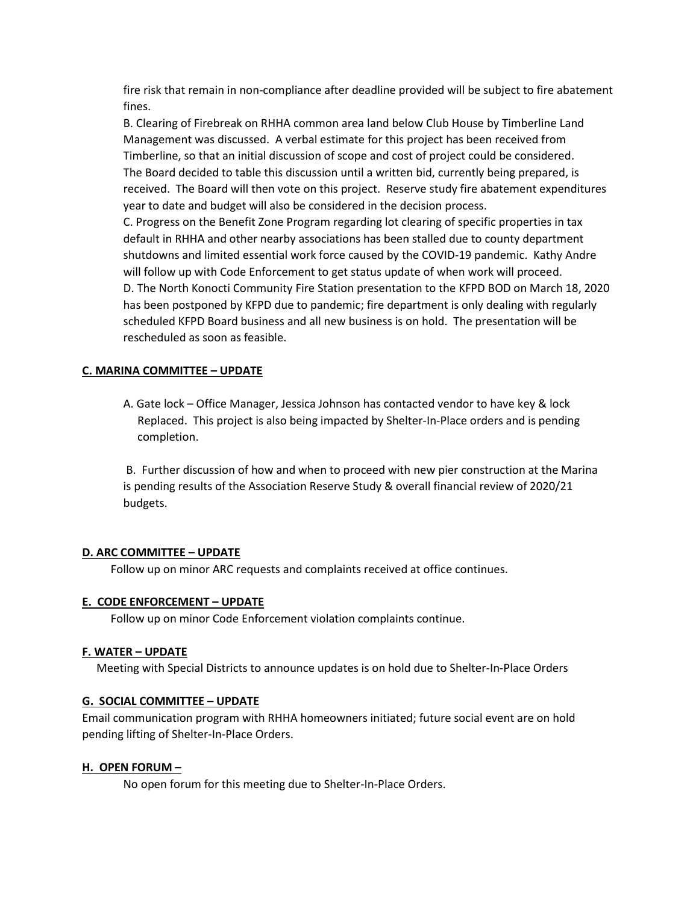fire risk that remain in non-compliance after deadline provided will be subject to fire abatement fines.

B. Clearing of Firebreak on RHHA common area land below Club House by Timberline Land Management was discussed. A verbal estimate for this project has been received from Timberline, so that an initial discussion of scope and cost of project could be considered. The Board decided to table this discussion until a written bid, currently being prepared, is received. The Board will then vote on this project. Reserve study fire abatement expenditures year to date and budget will also be considered in the decision process.

C. Progress on the Benefit Zone Program regarding lot clearing of specific properties in tax default in RHHA and other nearby associations has been stalled due to county department shutdowns and limited essential work force caused by the COVID-19 pandemic. Kathy Andre will follow up with Code Enforcement to get status update of when work will proceed. D. The North Konocti Community Fire Station presentation to the KFPD BOD on March 18, 2020 has been postponed by KFPD due to pandemic; fire department is only dealing with regularly scheduled KFPD Board business and all new business is on hold. The presentation will be rescheduled as soon as feasible.

#### **C. MARINA COMMITTEE – UPDATE**

A. Gate lock – Office Manager, Jessica Johnson has contacted vendor to have key & lock Replaced. This project is also being impacted by Shelter-In-Place orders and is pending completion.

B. Further discussion of how and when to proceed with new pier construction at the Marina is pending results of the Association Reserve Study & overall financial review of 2020/21 budgets.

# **D. ARC COMMITTEE – UPDATE**

Follow up on minor ARC requests and complaints received at office continues.

#### **E. CODE ENFORCEMENT – UPDATE**

Follow up on minor Code Enforcement violation complaints continue.

#### **F. WATER – UPDATE**

Meeting with Special Districts to announce updates is on hold due to Shelter-In-Place Orders

# **G. SOCIAL COMMITTEE – UPDATE**

Email communication program with RHHA homeowners initiated; future social event are on hold pending lifting of Shelter-In-Place Orders.

# **H. OPEN FORUM –**

No open forum for this meeting due to Shelter-In-Place Orders.